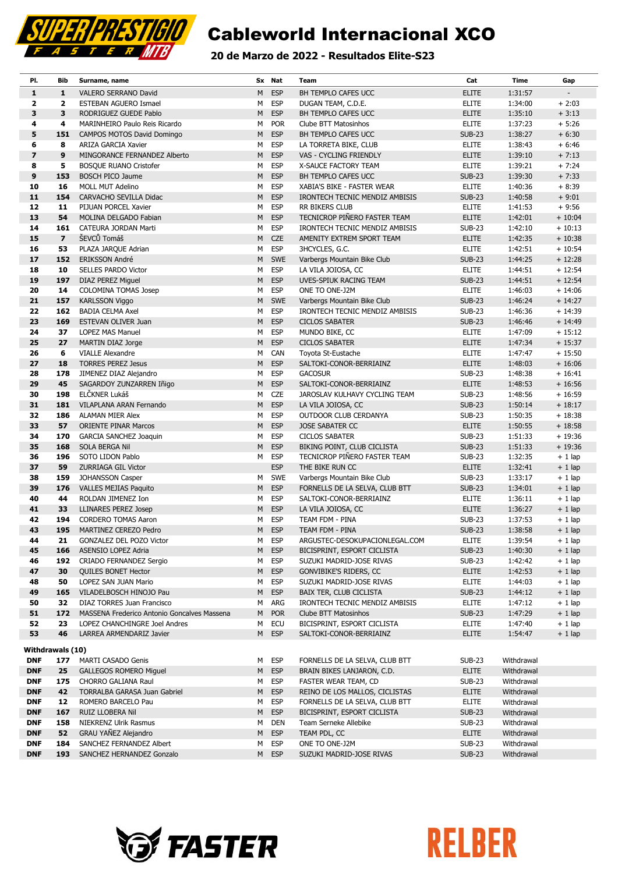

### 20 de Marzo de 2022 - Resultados Elite-S23

| PI.                     | Bib                     | Surname, name                                       |        | Sx Nat                   | Team                                                          | Cat                            | <b>Time</b>        | Gap                  |
|-------------------------|-------------------------|-----------------------------------------------------|--------|--------------------------|---------------------------------------------------------------|--------------------------------|--------------------|----------------------|
| $\mathbf{1}$            | $\mathbf{1}$            | VALERO SERRANO David                                | M      | <b>ESP</b>               | BH TEMPLO CAFES UCC                                           | <b>ELITE</b>                   | 1:31:57            |                      |
| $\overline{\mathbf{2}}$ | $\overline{\mathbf{2}}$ | ESTEBAN AGUERO Ismael                               | М      | <b>ESP</b>               | DUGAN TEAM, C.D.E.                                            | <b>ELITE</b>                   | 1:34:00            | $+2:03$              |
| 3                       | 3                       | RODRIGUEZ GUEDE Pablo                               | М      | <b>ESP</b>               | BH TEMPLO CAFES UCC                                           | <b>ELITE</b>                   | 1:35:10            | $+3:13$              |
| 4                       | 4                       | MARINHEIRO Paulo Reis Ricardo                       | м      | <b>POR</b>               | Clube BTT Matosinhos                                          | <b>ELITE</b>                   | 1:37:23            | $+ 5:26$             |
| 5                       | 151                     | CAMPOS MOTOS David Domingo                          | М      | <b>ESP</b>               | BH TEMPLO CAFES UCC                                           | <b>SUB-23</b>                  | 1:38:27            | $+6:30$              |
| 6                       | 8                       | ARIZA GARCIA Xavier                                 | М      | <b>ESP</b>               | LA TORRETA BIKE, CLUB                                         | <b>ELITE</b>                   | 1:38:43            | $+6:46$              |
| $\overline{\mathbf{z}}$ | 9                       | MINGORANCE FERNANDEZ Alberto                        | M      | <b>ESP</b>               | VAS - CYCLING FRIENDLY                                        | <b>ELITE</b>                   | 1:39:10            | $+7:13$              |
| 8                       | 5                       | <b>BOSQUE RUANO Cristofer</b>                       | М      | <b>ESP</b>               | X-SAUCE FACTORY TEAM                                          | <b>ELITE</b>                   | 1:39:21            | $+7:24$              |
| 9                       | 153                     | <b>BOSCH PICO Jaume</b>                             | М      | <b>ESP</b>               | BH TEMPLO CAFES UCC                                           | <b>SUB-23</b>                  | 1:39:30            | $+7:33$              |
| 10                      | 16                      | <b>MOLL MUT Adelino</b>                             | м      | <b>ESP</b>               | XABIA'S BIKE - FASTER WEAR                                    | <b>ELITE</b>                   | 1:40:36            | $+8:39$              |
| 11                      | 154                     | CARVACHO SEVILLA Didac                              | М      | <b>ESP</b>               | IRONTECH TECNIC MENDIZ AMBISIS                                | <b>SUB-23</b>                  | 1:40:58            | $+9:01$              |
| 12                      | 11                      | PIJUAN PORCEL Xavier                                | М      | <b>ESP</b>               | RR BIKERS CLUB                                                | <b>ELITE</b>                   | 1:41:53            | $+9:56$              |
| 13                      | 54                      | MOLINA DELGADO Fabian                               | M      | <b>ESP</b>               | TECNICROP PIÑERO FASTER TEAM                                  | <b>ELITE</b>                   | 1:42:01            | $+10:04$             |
| 14                      | 161                     | CATEURA JORDAN Marti                                | М      | <b>ESP</b>               | IRONTECH TECNIC MENDIZ AMBISIS                                | <b>SUB-23</b>                  | 1:42:10            | $+10:13$             |
| 15                      | $\overline{7}$          | ŠEVCŮ Tomáš                                         | М      | <b>CZE</b>               | AMENITY EXTREM SPORT TEAM                                     | <b>ELITE</b>                   | 1:42:35            | $+10:38$             |
| 16                      | 53                      | PLAZA JARQUE Adrian                                 | М      | <b>ESP</b>               | 3HCYCLES, G.C.                                                | <b>ELITE</b>                   | 1:42:51            | $+10:54$             |
| 17                      | 152                     | <b>ERIKSSON André</b>                               | М      | <b>SWE</b>               | Varbergs Mountain Bike Club                                   | <b>SUB-23</b>                  | 1:44:25            | $+12:28$             |
| 18                      | 10                      | SELLES PARDO Victor                                 | М      | <b>ESP</b>               | LA VILA JOIOSA, CC                                            | <b>ELITE</b>                   | 1:44:51            | $+12:54$             |
| 19                      | 197                     | DIAZ PEREZ Miguel                                   | M      | <b>ESP</b>               | UVES-SPIUK RACING TEAM                                        | <b>SUB-23</b>                  | 1:44:51            | $+12:54$             |
| 20<br>21                | 14<br>157               | COLOMINA TOMAS Josep<br><b>KARLSSON Viggo</b>       | М<br>М | <b>ESP</b><br><b>SWE</b> | ONE TO ONE-J2M                                                | <b>ELITE</b><br><b>SUB-23</b>  | 1:46:03<br>1:46:24 | $+14:06$<br>$+14:27$ |
| 22                      | 162                     | <b>BADIA CELMA Axel</b>                             | М      | <b>ESP</b>               | Varbergs Mountain Bike Club<br>IRONTECH TECNIC MENDIZ AMBISIS | <b>SUB-23</b>                  | 1:46:36            | $+14:39$             |
| 23                      | 169                     | <b>ESTEVAN OLIVER Juan</b>                          | М      | <b>ESP</b>               | <b>CICLOS SABATER</b>                                         | <b>SUB-23</b>                  | 1:46:46            | $+14:49$             |
| 24                      | 37                      | LOPEZ MAS Manuel                                    | м      | <b>ESP</b>               | MUNDO BIKE, CC                                                | <b>ELITE</b>                   | 1:47:09            | $+15:12$             |
| 25                      | 27                      | MARTIN DIAZ Jorge                                   | М      | <b>ESP</b>               | <b>CICLOS SABATER</b>                                         | <b>ELITE</b>                   | 1:47:34            | $+15:37$             |
| 26                      | 6                       | <b>VIALLE Alexandre</b>                             | М      | CAN                      | Toyota St-Eustache                                            | <b>ELITE</b>                   | 1:47:47            | $+15:50$             |
| 27                      | 18                      | <b>TORRES PEREZ Jesus</b>                           | M      | <b>ESP</b>               | SALTOKI-CONOR-BERRIAINZ                                       | <b>ELITE</b>                   | 1:48:03            | $+16:06$             |
| 28                      | 178                     | JIMENEZ DIAZ Alejandro                              | М      | <b>ESP</b>               | <b>GACOSUR</b>                                                | <b>SUB-23</b>                  | 1:48:38            | $+16:41$             |
| 29                      | 45                      | SAGARDOY ZUNZARREN Iñigo                            | М      | <b>ESP</b>               | SALTOKI-CONOR-BERRIAINZ                                       | <b>ELITE</b>                   | 1:48:53            | $+16:56$             |
| 30                      | 198                     | ELČKNER Lukáš                                       | м      | <b>CZE</b>               | JAROSLAV KULHAVY CYCLING TEAM                                 | <b>SUB-23</b>                  | 1:48:56            | $+16:59$             |
| 31                      | 181                     | VILAPLANA ARAN Fernando                             | М      | <b>ESP</b>               | LA VILA JOIOSA, CC                                            | <b>SUB-23</b>                  | 1:50:14            | $+18:17$             |
| 32                      | 186                     | <b>ALAMAN MIER Alex</b>                             | М      | <b>ESP</b>               | OUTDOOR CLUB CERDANYA                                         | <b>SUB-23</b>                  | 1:50:35            | $+18:38$             |
| 33                      | 57                      | <b>ORIENTE PINAR Marcos</b>                         | M      | <b>ESP</b>               | <b>JOSE SABATER CC</b>                                        | <b>ELITE</b>                   | 1:50:55            | $+18:58$             |
| 34                      | 170                     | <b>GARCIA SANCHEZ Joaquin</b>                       | М      | <b>ESP</b>               | <b>CICLOS SABATER</b>                                         | <b>SUB-23</b>                  | 1:51:33            | $+19:36$             |
| 35                      | 168                     | SOLA BERGA Nil                                      | М      | <b>ESP</b>               | BIKING POINT, CLUB CICLISTA                                   | <b>SUB-23</b>                  | 1:51:33            | $+19:36$             |
| 36                      | 196                     | SOTO LIDON Pablo                                    | М      | <b>ESP</b>               | TECNICROP PIÑERO FASTER TEAM                                  | <b>SUB-23</b>                  | 1:32:35            | $+1$ lap             |
| 37                      | 59                      | <b>ZURRIAGA GIL Victor</b>                          |        | <b>ESP</b>               | THE BIKE RUN CC                                               | <b>ELITE</b>                   | 1:32:41            | $+1$ lap             |
| 38                      | 159                     | JOHANSSON Casper                                    | м      | <b>SWE</b>               | Varbergs Mountain Bike Club                                   | <b>SUB-23</b>                  | 1:33:17            | $+1$ lap             |
| 39                      | 176                     | <b>VALLES MEJIAS Paquito</b>                        | M      | <b>ESP</b>               | FORNELLS DE LA SELVA, CLUB BTT                                | <b>SUB-23</b>                  | 1:34:01            | $+1$ lap             |
| 40                      | 44                      | ROLDAN JIMENEZ Ion                                  | М      | <b>ESP</b>               | SALTOKI-CONOR-BERRIAINZ                                       | <b>ELITE</b>                   | 1:36:11            | $+1$ lap             |
| 41                      | 33                      | <b>LLINARES PEREZ Josep</b>                         | М      | <b>ESP</b>               | LA VILA JOIOSA, CC                                            | <b>ELITE</b>                   | 1:36:27            | $+1$ lap             |
| 42<br>43                | 194<br>195              | <b>CORDERO TOMAS Aaron</b><br>MARTINEZ CEREZO Pedro | М<br>М | <b>ESP</b><br><b>ESP</b> | TEAM FDM - PINA<br>TEAM FDM - PINA                            | <b>SUB-23</b><br><b>SUB-23</b> | 1:37:53<br>1:38:58 | $+1$ lap<br>$+1$ lap |
| 44                      | 21                      | GONZALEZ DEL POZO Victor                            | М      | ESP                      | ARGUSTEC-DESOKUPACIONLEGAL.COM                                | ELITE                          | 1:39:54            | $+1$ lap             |
| 45                      | 166                     | <b>ASENSIO LOPEZ Adria</b>                          | М      | <b>ESP</b>               | BICISPRINT, ESPORT CICLISTA                                   | <b>SUB-23</b>                  | 1:40:30            | $+1$ lap             |
| 46                      | 192                     | CRIADO FERNANDEZ Sergio                             | М      | <b>ESP</b>               | SUZUKI MADRID-JOSE RIVAS                                      | <b>SUB-23</b>                  | 1:42:42            | $+1$ lap             |
| 47                      | 30                      | <b>QUILES BONET Hector</b>                          | М      | <b>ESP</b>               | GONVIBIKE'S RIDERS, CC                                        | <b>ELITE</b>                   | 1:42:53            | $+1$ lap             |
| 48                      | 50                      | LOPEZ SAN JUAN Mario                                | М      | <b>ESP</b>               | SUZUKI MADRID-JOSE RIVAS                                      | <b>ELITE</b>                   | 1:44:03            | $+1$ lap             |
| 49                      | 165                     | VILADELBOSCH HINOJO Pau                             | М      | <b>ESP</b>               | <b>BAIX TER, CLUB CICLISTA</b>                                | <b>SUB-23</b>                  | 1:44:12            | $+1$ lap             |
| 50                      | 32                      | DIAZ TORRES Juan Francisco                          | м      | ARG                      | IRONTECH TECNIC MENDIZ AMBISIS                                | <b>ELITE</b>                   | 1:47:12            | $+1$ lap             |
| 51                      | 172                     | MASSENA Frederico Antonio Goncalves Massena         | М      | <b>POR</b>               | <b>Clube BTT Matosinhos</b>                                   | <b>SUB-23</b>                  | 1:47:29            | $+1$ lap             |
| 52                      | 23                      | LOPEZ CHANCHINGRE Joel Andres                       | М      | <b>ECU</b>               | BICISPRINT, ESPORT CICLISTA                                   | <b>ELITE</b>                   | 1:47:40            | $+1$ lap             |
| 53                      | 46                      | LARREA ARMENDARIZ Javier                            | M      | <b>ESP</b>               | SALTOKI-CONOR-BERRIAINZ                                       | <b>ELITE</b>                   | 1:54:47            | $+1$ lap             |
| Withdrawals (10)        |                         |                                                     |        |                          |                                                               |                                |                    |                      |
| <b>DNF</b>              | 177                     | MARTI CASADO Genis                                  | М      | <b>ESP</b>               | FORNELLS DE LA SELVA, CLUB BTT                                | <b>SUB-23</b>                  | Withdrawal         |                      |
| <b>DNF</b>              | 25                      | <b>GALLEGOS ROMERO Miguel</b>                       | М      | <b>ESP</b>               | BRAIN BIKES LANJARON, C.D.                                    | <b>ELITE</b>                   | Withdrawal         |                      |
| <b>DNF</b>              | 175                     | <b>CHORRO GALIANA Raul</b>                          | м      | <b>ESP</b>               | FASTER WEAR TEAM, CD                                          | <b>SUB-23</b>                  | Withdrawal         |                      |
| <b>DNF</b>              | 42                      | <b>TORRALBA GARASA Juan Gabriel</b>                 | М      | <b>ESP</b>               | REINO DE LOS MALLOS, CICLISTAS                                | <b>ELITE</b>                   | Withdrawal         |                      |
| <b>DNF</b>              | 12                      | ROMERO BARCELO Pau                                  | м      | <b>ESP</b>               | FORNELLS DE LA SELVA, CLUB BTT                                | ELITE                          | Withdrawal         |                      |
| <b>DNF</b>              | 167                     | RUIZ LLOBERA Nil                                    | М      | <b>ESP</b>               | BICISPRINT, ESPORT CICLISTA                                   | <b>SUB-23</b>                  | Withdrawal         |                      |
| <b>DNF</b>              | 158                     | <b>NIEKRENZ Ulrik Rasmus</b>                        | М      | <b>DEN</b>               | Team Serneke Allebike                                         | <b>SUB-23</b>                  | Withdrawal         |                      |
| <b>DNF</b>              | 52                      | GRAU YAÑEZ Alejandro                                | М      | <b>ESP</b>               | TEAM PDL, CC                                                  | <b>ELITE</b>                   | Withdrawal         |                      |
| <b>DNF</b>              | 184                     | SANCHEZ FERNANDEZ Albert                            | м      | <b>ESP</b>               | ONE TO ONE-J2M                                                | <b>SUB-23</b>                  | Withdrawal         |                      |
| <b>DNF</b>              | 193                     | SANCHEZ HERNANDEZ Gonzalo                           | М      | <b>ESP</b>               | SUZUKI MADRID-JOSE RIVAS                                      | <b>SUB-23</b>                  | Withdrawal         |                      |



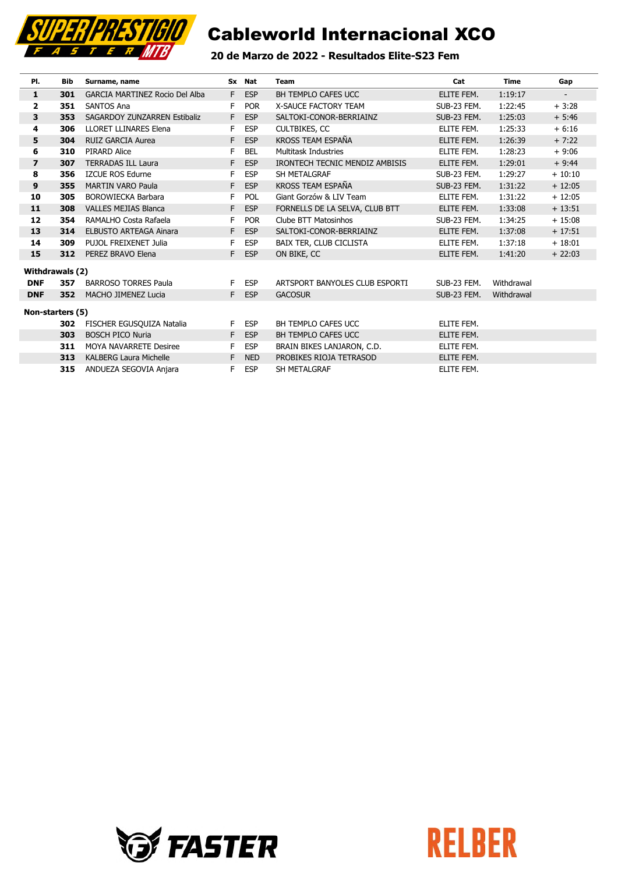

### 20 de Marzo de 2022 - Resultados Elite-S23 Fem

| PI.                     | Bib              | Surname, name                         |    | Sx Nat     | Team                           | Cat         | <b>Time</b> | Gap                      |
|-------------------------|------------------|---------------------------------------|----|------------|--------------------------------|-------------|-------------|--------------------------|
| 1                       | 301              | <b>GARCIA MARTINEZ Rocio Del Alba</b> |    | F ESP      | BH TEMPLO CAFES UCC            | ELITE FEM.  | 1:19:17     | $\overline{\phantom{a}}$ |
| $\overline{\mathbf{2}}$ | 351              | <b>SANTOS Ana</b>                     | F  | <b>POR</b> | <b>X-SAUCE FACTORY TEAM</b>    | SUB-23 FEM. | 1:22:45     | $+3:28$                  |
| 3                       | 353              | SAGARDOY ZUNZARREN Estibaliz          | F  | <b>ESP</b> | SALTOKI-CONOR-BERRIAINZ        | SUB-23 FEM. | 1:25:03     | $+ 5:46$                 |
| 4                       | 306              | <b>LLORET LLINARES Elena</b>          | F  | <b>ESP</b> | CULTBIKES, CC                  | ELITE FEM.  | 1:25:33     | $+6:16$                  |
| 5                       | 304              | <b>RUIZ GARCIA Aurea</b>              | F  | <b>ESP</b> | <b>KROSS TEAM ESPAÑA</b>       | ELITE FEM.  | 1:26:39     | $+7:22$                  |
| 6                       | 310              | <b>PIRARD Alice</b>                   | F  | <b>BEL</b> | <b>Multitask Industries</b>    | ELITE FEM.  | 1:28:23     | $+9:06$                  |
| $\overline{\mathbf{z}}$ | 307              | <b>TERRADAS ILL Laura</b>             | F. | <b>ESP</b> | IRONTECH TECNIC MENDIZ AMBISIS | ELITE FEM.  | 1:29:01     | $+9:44$                  |
| 8                       | 356              | <b>IZCUE ROS Edurne</b>               | F  | <b>ESP</b> | SH METALGRAF                   | SUB-23 FEM. | 1:29:27     | $+10:10$                 |
| 9                       | 355              | <b>MARTIN VARO Paula</b>              | F  | <b>ESP</b> | KROSS TEAM ESPAÑA              | SUB-23 FEM. | 1:31:22     | $+12:05$                 |
| 10                      | 305              | <b>BOROWIECKA Barbara</b>             | F  | <b>POL</b> | Giant Gorzów & LIV Team        | ELITE FEM.  | 1:31:22     | $+12:05$                 |
| 11                      | 308              | <b>VALLES MEJIAS Blanca</b>           | F  | <b>ESP</b> | FORNELLS DE LA SELVA, CLUB BTT | ELITE FEM.  | 1:33:08     | $+13:51$                 |
| 12                      | 354              | RAMALHO Costa Rafaela                 | F  | <b>POR</b> | Clube BTT Matosinhos           | SUB-23 FEM. | 1:34:25     | $+15:08$                 |
| 13                      | 314              | <b>ELBUSTO ARTEAGA Ainara</b>         |    | F ESP      | SALTOKI-CONOR-BERRIAINZ        | ELITE FEM.  | 1:37:08     | $+17:51$                 |
| 14                      | 309              | PUJOL FREIXENET Julia                 | F  | <b>ESP</b> | <b>BAIX TER, CLUB CICLISTA</b> | ELITE FEM.  | 1:37:18     | $+18:01$                 |
| 15                      | 312              | PEREZ BRAVO Elena                     | F. | <b>ESP</b> | ON BIKE, CC                    | ELITE FEM.  | 1:41:20     | $+22:03$                 |
|                         | Withdrawals (2)  |                                       |    |            |                                |             |             |                          |
| <b>DNF</b>              | 357              | <b>BARROSO TORRES Paula</b>           | F. | <b>ESP</b> | ARTSPORT BANYOLES CLUB ESPORTI | SUB-23 FEM. | Withdrawal  |                          |
| <b>DNF</b>              | 352              | <b>MACHO JIMENEZ Lucia</b>            |    | F ESP      | <b>GACOSUR</b>                 | SUB-23 FEM. | Withdrawal  |                          |
|                         | Non-starters (5) |                                       |    |            |                                |             |             |                          |
|                         | 302              | FISCHER EGUSQUIZA Natalia             | F. | <b>ESP</b> | BH TEMPLO CAFES UCC            | ELITE FEM.  |             |                          |
|                         | 303              | <b>BOSCH PICO Nuria</b>               | F  | <b>ESP</b> | <b>BH TEMPLO CAFES UCC</b>     | ELITE FEM.  |             |                          |
|                         | 311              | <b>MOYA NAVARRETE Desiree</b>         | F  | <b>ESP</b> | BRAIN BIKES LANJARON, C.D.     | ELITE FEM.  |             |                          |
|                         | 313              | <b>KALBERG Laura Michelle</b>         | F  | <b>NED</b> | PROBIKES RIOJA TETRASOD        | ELITE FEM.  |             |                          |
|                         | 315              | ANDUEZA SEGOVIA Anjara                | F  | <b>ESP</b> | SH METALGRAF                   | ELITE FEM.  |             |                          |



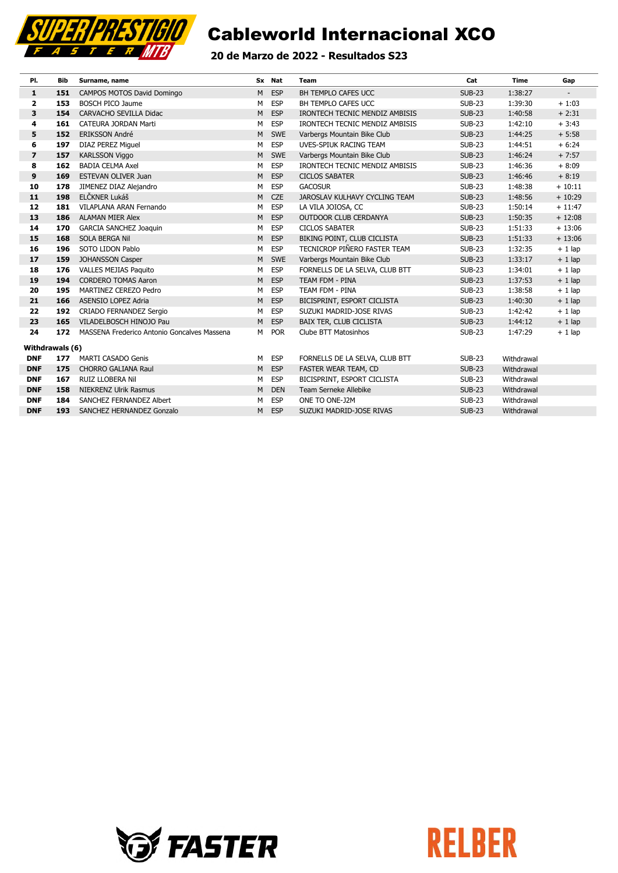

### 20 de Marzo de 2022 - Resultados S23

| PI.             | Bib | Surname, name                               |   | Sx Nat     | Team                           | Cat           | Time       | Gap                      |
|-----------------|-----|---------------------------------------------|---|------------|--------------------------------|---------------|------------|--------------------------|
| 1               | 151 | CAMPOS MOTOS David Domingo                  | M | <b>ESP</b> | BH TEMPLO CAFES UCC            | <b>SUB-23</b> | 1:38:27    | $\overline{\phantom{a}}$ |
| $\mathbf{2}$    | 153 | <b>BOSCH PICO Jaume</b>                     | м | ESP        | BH TEMPLO CAFES UCC            | <b>SUB-23</b> | 1:39:30    | $+1:03$                  |
| 3               | 154 | <b>CARVACHO SEVILLA Didac</b>               | M | <b>ESP</b> | IRONTECH TECNIC MENDIZ AMBISIS | <b>SUB-23</b> | 1:40:58    | $+2:31$                  |
| 4               | 161 | <b>CATEURA JORDAN Marti</b>                 | M | ESP        | IRONTECH TECNIC MENDIZ AMBISIS | <b>SUB-23</b> | 1:42:10    | $+3:43$                  |
| 5               | 152 | <b>ERIKSSON André</b>                       | M | <b>SWE</b> | Varbergs Mountain Bike Club    | <b>SUB-23</b> | 1:44:25    | $+ 5:58$                 |
| 6               | 197 | <b>DIAZ PEREZ Miguel</b>                    | М | <b>ESP</b> | UVES-SPIUK RACING TEAM         | <b>SUB-23</b> | 1:44:51    | $+6:24$                  |
| $\overline{ }$  | 157 | <b>KARLSSON Viggo</b>                       | M | <b>SWE</b> | Varbergs Mountain Bike Club    | <b>SUB-23</b> | 1:46:24    | $+7:57$                  |
| 8               | 162 | <b>BADIA CELMA Axel</b>                     | м | <b>ESP</b> | IRONTECH TECNIC MENDIZ AMBISIS | <b>SUB-23</b> | 1:46:36    | $+8:09$                  |
| 9               | 169 | <b>ESTEVAN OLIVER Juan</b>                  | M | <b>ESP</b> | <b>CICLOS SABATER</b>          | <b>SUB-23</b> | 1:46:46    | $+8:19$                  |
| 10              | 178 | JIMENEZ DIAZ Alejandro                      | м | <b>ESP</b> | <b>GACOSUR</b>                 | <b>SUB-23</b> | 1:48:38    | $+10:11$                 |
| 11              | 198 | ELČKNER Lukáš                               | M | <b>CZE</b> | JAROSLAV KULHAVY CYCLING TEAM  | <b>SUB-23</b> | 1:48:56    | $+10:29$                 |
| 12              | 181 | VILAPLANA ARAN Fernando                     | м | <b>ESP</b> | LA VILA JOIOSA, CC             | <b>SUB-23</b> | 1:50:14    | $+11:47$                 |
| 13              | 186 | <b>ALAMAN MIER Alex</b>                     | M | <b>ESP</b> | OUTDOOR CLUB CERDANYA          | <b>SUB-23</b> | 1:50:35    | $+12:08$                 |
| 14              | 170 | <b>GARCIA SANCHEZ Joaquin</b>               | М | ESP        | <b>CICLOS SABATER</b>          | <b>SUB-23</b> | 1:51:33    | $+13:06$                 |
| 15              | 168 | SOLA BERGA Nil                              | M | <b>ESP</b> | BIKING POINT, CLUB CICLISTA    | <b>SUB-23</b> | 1:51:33    | $+13:06$                 |
| 16              | 196 | SOTO LIDON Pablo                            | М | ESP        | TECNICROP PIÑERO FASTER TEAM   | <b>SUB-23</b> | 1:32:35    | $+1$ lap                 |
| 17              | 159 | <b>JOHANSSON Casper</b>                     | M | <b>SWE</b> | Varbergs Mountain Bike Club    | <b>SUB-23</b> | 1:33:17    | $+1$ lap                 |
| 18              | 176 | <b>VALLES MEJIAS Paguito</b>                | M | <b>ESP</b> | FORNELLS DE LA SELVA, CLUB BTT | <b>SUB-23</b> | 1:34:01    | $+1$ lap                 |
| 19              | 194 | <b>CORDERO TOMAS Aaron</b>                  | M | <b>ESP</b> | TEAM FDM - PINA                | <b>SUB-23</b> | 1:37:53    | $+1$ lap                 |
| 20              | 195 | MARTINEZ CEREZO Pedro                       | М | ESP        | TEAM FDM - PINA                | <b>SUB-23</b> | 1:38:58    | $+1$ lap                 |
| 21              | 166 | <b>ASENSIO LOPEZ Adria</b>                  | M | <b>ESP</b> | BICISPRINT, ESPORT CICLISTA    | <b>SUB-23</b> | 1:40:30    | $+1$ lap                 |
| 22              | 192 | CRIADO FERNANDEZ Sergio                     | м | ESP        | SUZUKI MADRID-JOSE RIVAS       | <b>SUB-23</b> | 1:42:42    | $+1$ lap                 |
| 23              | 165 | VILADELBOSCH HINOJO Pau                     | M | <b>ESP</b> | <b>BAIX TER, CLUB CICLISTA</b> | <b>SUB-23</b> | 1:44:12    | $+1$ lap                 |
| 24              | 172 | MASSENA Frederico Antonio Goncalves Massena | M | <b>POR</b> | Clube BTT Matosinhos           | <b>SUB-23</b> | 1:47:29    | $+1$ lap                 |
| Withdrawals (6) |     |                                             |   |            |                                |               |            |                          |
| <b>DNF</b>      | 177 | <b>MARTI CASADO Genis</b>                   | M | <b>ESP</b> | FORNELLS DE LA SELVA, CLUB BTT | <b>SUB-23</b> | Withdrawal |                          |
| <b>DNF</b>      | 175 | <b>CHORRO GALIANA Raul</b>                  | M | <b>ESP</b> | FASTER WEAR TEAM, CD           | <b>SUB-23</b> | Withdrawal |                          |
| <b>DNF</b>      | 167 | RUIZ LLOBERA Nil                            | м | <b>ESP</b> | BICISPRINT, ESPORT CICLISTA    | <b>SUB-23</b> | Withdrawal |                          |
| <b>DNF</b>      | 158 | <b>NIEKRENZ Ulrik Rasmus</b>                | M | <b>DEN</b> | Team Serneke Allebike          | <b>SUB-23</b> | Withdrawal |                          |
| <b>DNF</b>      | 184 | SANCHEZ FERNANDEZ Albert                    | м | <b>ESP</b> | ONE TO ONE-J2M                 | <b>SUB-23</b> | Withdrawal |                          |
| <b>DNF</b>      | 193 | SANCHEZ HERNANDEZ Gonzalo                   | м | <b>ESP</b> | SUZUKI MADRID-JOSE RIVAS       | <b>SUB-23</b> | Withdrawal |                          |



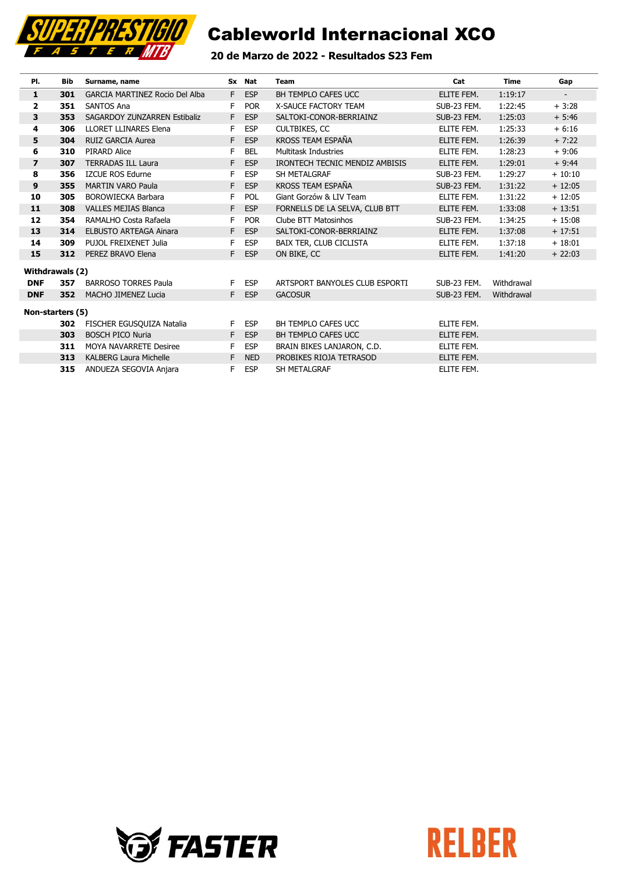

### 20 de Marzo de 2022 - Resultados S23 Fem

| PI.                     | <b>Bib</b> | Surname, name                  |    | Sx Nat     | Team                           | Cat         | <b>Time</b> | Gap                      |
|-------------------------|------------|--------------------------------|----|------------|--------------------------------|-------------|-------------|--------------------------|
| $\mathbf{1}$            | 301        | GARCIA MARTINEZ Rocio Del Alba | F. | <b>ESP</b> | BH TEMPLO CAFES UCC            | ELITE FEM.  | 1:19:17     | $\overline{\phantom{a}}$ |
| $\overline{\mathbf{2}}$ | 351        | <b>SANTOS Ana</b>              | F  | <b>POR</b> | <b>X-SAUCE FACTORY TEAM</b>    | SUB-23 FEM. | 1:22:45     | $+3:28$                  |
| 3                       | 353        | SAGARDOY ZUNZARREN Estibaliz   | E  | <b>ESP</b> | SALTOKI-CONOR-BERRIAINZ        | SUB-23 FEM. | 1:25:03     | $+ 5:46$                 |
| 4                       | 306        | <b>LLORET LLINARES Elena</b>   | F  | <b>ESP</b> | <b>CULTBIKES, CC</b>           | ELITE FEM.  | 1:25:33     | $+6:16$                  |
| 5                       | 304        | <b>RUIZ GARCIA Aurea</b>       | F. | <b>ESP</b> | KROSS TEAM ESPAÑA              | ELITE FEM.  | 1:26:39     | $+7:22$                  |
| 6                       | 310        | PIRARD Alice                   | F  | <b>BEL</b> | Multitask Industries           | ELITE FEM.  | 1:28:23     | $+9:06$                  |
| $\overline{\mathbf{z}}$ | 307        | <b>TERRADAS ILL Laura</b>      | F  | <b>ESP</b> | IRONTECH TECNIC MENDIZ AMBISIS | ELITE FEM.  | 1:29:01     | $+9:44$                  |
| 8                       | 356        | <b>IZCUE ROS Edurne</b>        | F  | <b>ESP</b> | SH METALGRAF                   | SUB-23 FEM. | 1:29:27     | $+10:10$                 |
| 9                       | 355        | <b>MARTIN VARO Paula</b>       | F  | <b>ESP</b> | KROSS TEAM ESPAÑA              | SUB-23 FEM. | 1:31:22     | $+12:05$                 |
| 10                      | 305        | <b>BOROWIECKA Barbara</b>      | F  | <b>POL</b> | Giant Gorzów & LIV Team        | ELITE FEM.  | 1:31:22     | $+12:05$                 |
| 11                      | 308        | <b>VALLES MEJIAS Blanca</b>    | F. | <b>ESP</b> | FORNELLS DE LA SELVA, CLUB BTT | ELITE FEM.  | 1:33:08     | $+13:51$                 |
| 12                      | 354        | RAMALHO Costa Rafaela          | F  | <b>POR</b> | Clube BTT Matosinhos           | SUB-23 FEM. | 1:34:25     | $+15:08$                 |
| 13                      | 314        | <b>ELBUSTO ARTEAGA Ainara</b>  | F. | <b>ESP</b> | SALTOKI-CONOR-BERRIAINZ        | ELITE FEM.  | 1:37:08     | $+17:51$                 |
| 14                      | 309        | PUJOL FREIXENET Julia          | F  | <b>ESP</b> | BAIX TER, CLUB CICLISTA        | ELITE FEM.  | 1:37:18     | $+18:01$                 |
| 15                      | 312        | PEREZ BRAVO Elena              | F. | <b>ESP</b> | ON BIKE, CC                    | ELITE FEM.  | 1:41:20     | $+22:03$                 |
| Withdrawals (2)         |            |                                |    |            |                                |             |             |                          |
| <b>DNF</b>              | 357        | <b>BARROSO TORRES Paula</b>    | F. | <b>ESP</b> | ARTSPORT BANYOLES CLUB ESPORTI | SUB-23 FEM. | Withdrawal  |                          |
| <b>DNF</b>              | 352        | <b>MACHO JIMENEZ Lucia</b>     |    | F ESP      | <b>GACOSUR</b>                 | SUB-23 FEM. | Withdrawal  |                          |
| Non-starters (5)        |            |                                |    |            |                                |             |             |                          |
|                         | 302        | FISCHER EGUSQUIZA Natalia      | F. | <b>ESP</b> | BH TEMPLO CAFES UCC            | ELITE FEM.  |             |                          |
|                         | 303        | <b>BOSCH PICO Nuria</b>        | F  | <b>ESP</b> | BH TEMPLO CAFES UCC            | ELITE FEM.  |             |                          |
|                         | 311        | <b>MOYA NAVARRETE Desiree</b>  | F  | <b>ESP</b> | BRAIN BIKES LANJARON, C.D.     | ELITE FEM.  |             |                          |
|                         | 313        | <b>KALBERG Laura Michelle</b>  | F  | <b>NED</b> | PROBIKES RIOJA TETRASOD        | ELITE FEM.  |             |                          |
|                         | 315        | ANDUEZA SEGOVIA Anjara         | F. | <b>ESP</b> | SH METALGRAF                   | ELITE FEM.  |             |                          |



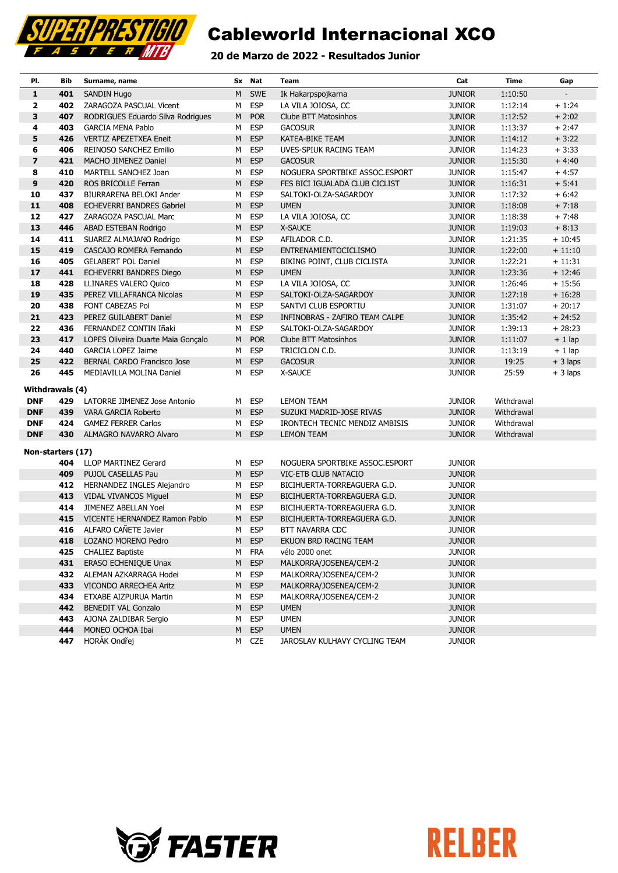

### 20 de Marzo de 2022 - Resultados Junior

| PI.               | Bib | Surname, name                      |   | Sx Nat     | Team                           | Cat           | <b>Time</b> | Gap       |
|-------------------|-----|------------------------------------|---|------------|--------------------------------|---------------|-------------|-----------|
| $\mathbf{1}$      | 401 | <b>SANDIN Hugo</b>                 | M | SWE        | Ik Hakarpspojkarna             | <b>JUNIOR</b> | 1:10:50     |           |
| 2                 | 402 | ZARAGOZA PASCUAL Vicent            | м | <b>ESP</b> | LA VILA JOIOSA, CC             | <b>JUNIOR</b> | 1:12:14     | $+1:24$   |
| 3                 | 407 | RODRIGUES Eduardo Silva Rodrigues  | M | <b>POR</b> | Clube BTT Matosinhos           | <b>JUNIOR</b> | 1:12:52     | $+2:02$   |
| 4                 | 403 | <b>GARCIA MENA Pablo</b>           | м | <b>ESP</b> | <b>GACOSUR</b>                 | <b>JUNIOR</b> | 1:13:37     | $+2:47$   |
| 5                 | 426 | <b>VERTIZ APEZETXEA Eneit</b>      | M | <b>ESP</b> | KATEA-BIKE TEAM                | <b>JUNIOR</b> | 1:14:12     | $+3:22$   |
| 6                 | 406 | REINOSO SANCHEZ Emilio             | м | <b>ESP</b> | UVES-SPIUK RACING TEAM         | <b>JUNIOR</b> | 1:14:23     | $+3:33$   |
| $\overline{z}$    | 421 | MACHO JIMENEZ Daniel               | M | <b>ESP</b> | <b>GACOSUR</b>                 | <b>JUNIOR</b> | 1:15:30     | $+4:40$   |
| 8                 | 410 | MARTELL SANCHEZ Joan               | M | <b>ESP</b> | NOGUERA SPORTBIKE ASSOC.ESPORT | <b>JUNIOR</b> | 1:15:47     | $+4:57$   |
| 9                 | 420 | ROS BRICOLLE Ferran                | M | <b>ESP</b> | FES BICI IGUALADA CLUB CICLIST | <b>JUNIOR</b> | 1:16:31     | $+ 5:41$  |
| 10                | 437 | BIURRARENA BELOKI Ander            | м | <b>ESP</b> | SALTOKI-OLZA-SAGARDOY          | <b>JUNIOR</b> | 1:17:32     | $+6:42$   |
| 11                | 408 | <b>ECHEVERRI BANDRES Gabriel</b>   | M | <b>ESP</b> | <b>UMEN</b>                    | <b>JUNIOR</b> | 1:18:08     | $+7:18$   |
| 12                | 427 | ZARAGOZA PASCUAL Marc              | м | <b>ESP</b> | LA VILA JOIOSA, CC             | <b>JUNIOR</b> | 1:18:38     | $+7:48$   |
| 13                | 446 | ABAD ESTEBAN Rodrigo               | M | <b>ESP</b> | X-SAUCE                        | <b>JUNIOR</b> | 1:19:03     | $+8:13$   |
| 14                | 411 | SUAREZ ALMAJANO Rodrigo            | м | <b>ESP</b> | AFILADOR C.D.                  | <b>JUNIOR</b> | 1:21:35     | $+10:45$  |
| 15                | 419 | CASCAJO ROMERA Fernando            | M | <b>ESP</b> | ENTRENAMIENTOCICLISMO          | <b>JUNIOR</b> | 1:22:00     | $+11:10$  |
| 16                | 405 | <b>GELABERT POL Daniel</b>         | м | <b>ESP</b> | BIKING POINT, CLUB CICLISTA    | <b>JUNIOR</b> | 1:22:21     | $+11:31$  |
| 17                | 441 | <b>ECHEVERRI BANDRES Diego</b>     | M | <b>ESP</b> | <b>UMEN</b>                    | <b>JUNIOR</b> | 1:23:36     | $+12:46$  |
| 18                | 428 | <b>LLINARES VALERO Quico</b>       | М | <b>ESP</b> | LA VILA JOIOSA, CC             | <b>JUNIOR</b> | 1:26:46     | $+15:56$  |
| 19                | 435 | PEREZ VILLAFRANCA Nicolas          | M | <b>ESP</b> | SALTOKI-OLZA-SAGARDOY          | <b>JUNIOR</b> | 1:27:18     | $+16:28$  |
| 20                | 438 | FONT CABEZAS Pol                   | м | <b>ESP</b> | SANTVI CLUB ESPORTIU           | <b>JUNIOR</b> | 1:31:07     | $+20:17$  |
| 21                | 423 | PEREZ GUILABERT Daniel             | M | <b>ESP</b> | INFINOBRAS - ZAFIRO TEAM CALPE | <b>JUNIOR</b> | 1:35:42     | $+24:52$  |
| 22                | 436 | FERNANDEZ CONTIN Iñaki             | м | <b>ESP</b> | SALTOKI-OLZA-SAGARDOY          | <b>JUNIOR</b> | 1:39:13     | $+28:23$  |
| 23                | 417 | LOPES Oliveira Duarte Maia Gonçalo | M | <b>POR</b> | Clube BTT Matosinhos           | <b>JUNIOR</b> | 1:11:07     | $+1$ lap  |
| 24                | 440 | <b>GARCIA LOPEZ Jaime</b>          | м | <b>ESP</b> | TRICICLON C.D.                 | <b>JUNIOR</b> | 1:13:19     | $+1$ lap  |
| 25                | 422 | BERNAL CARDO Francisco Jose        | M | <b>ESP</b> | <b>GACOSUR</b>                 | <b>JUNIOR</b> | 19:25       | $+3$ laps |
| 26                | 445 | MEDIAVILLA MOLINA Daniel           | м | <b>ESP</b> | X-SAUCE                        | <b>JUNIOR</b> | 25:59       | $+3$ laps |
| Withdrawals (4)   |     |                                    |   |            |                                |               |             |           |
| <b>DNF</b>        | 429 | LATORRE JIMENEZ Jose Antonio       | м | <b>ESP</b> | <b>LEMON TEAM</b>              | <b>JUNIOR</b> | Withdrawal  |           |
| <b>DNF</b>        | 439 | VARA GARCIA Roberto                | M | <b>ESP</b> | SUZUKI MADRID-JOSE RIVAS       | <b>JUNIOR</b> | Withdrawal  |           |
| <b>DNF</b>        | 424 | <b>GAMEZ FERRER Carlos</b>         | м | <b>ESP</b> | IRONTECH TECNIC MENDIZ AMBISIS | <b>JUNIOR</b> | Withdrawal  |           |
| <b>DNF</b>        | 430 | ALMAGRO NAVARRO Alvaro             | M | <b>ESP</b> | <b>LEMON TEAM</b>              | <b>JUNIOR</b> | Withdrawal  |           |
| Non-starters (17) |     |                                    |   |            |                                |               |             |           |
|                   | 404 | <b>LLOP MARTINEZ Gerard</b>        | м | <b>ESP</b> | NOGUERA SPORTBIKE ASSOC.ESPORT | <b>JUNIOR</b> |             |           |
|                   | 409 | PUJOL CASELLAS Pau                 | М | <b>ESP</b> | VIC-ETB CLUB NATACIO           | <b>JUNIOR</b> |             |           |
|                   | 412 | HERNANDEZ INGLES Alejandro         | м | <b>ESP</b> | BICIHUERTA-TORREAGUERA G.D.    | <b>JUNIOR</b> |             |           |
|                   | 413 | <b>VIDAL VIVANCOS Miguel</b>       | M | <b>ESP</b> | BICIHUERTA-TORREAGUERA G.D.    | <b>JUNIOR</b> |             |           |
|                   | 414 | <b>JIMENEZ ABELLAN Yoel</b>        | М | <b>ESP</b> | BICIHUERTA-TORREAGUERA G.D.    | <b>JUNIOR</b> |             |           |
|                   | 415 | VICENTE HERNANDEZ Ramon Pablo      | М | <b>ESP</b> | BICIHUERTA-TORREAGUERA G.D.    | <b>JUNIOR</b> |             |           |
|                   | 416 | ALFARO CAÑETE Javier               | M | <b>ESP</b> | <b>BTT NAVARRA CDC</b>         | <b>JUNIOR</b> |             |           |
|                   | 418 | LOZANO MORENO Pedro                |   | M ESP      | EKUON BRD RACING TEAM          | <b>JUNIOR</b> |             |           |
|                   | 425 | <b>CHALIEZ Baptiste</b>            | м | <b>FRA</b> | vélo 2000 onet                 | <b>JUNIOR</b> |             |           |
|                   | 431 | ERASO ECHENIQUE Unax               | M | <b>ESP</b> | MALKORRA/JOSENEA/CEM-2         | <b>JUNIOR</b> |             |           |
|                   | 432 | ALEMAN AZKARRAGA Hodei             | М | <b>ESP</b> | MALKORRA/JOSENEA/CEM-2         | <b>JUNIOR</b> |             |           |
|                   | 433 | VICONDO ARRECHEA Aritz             | M | <b>ESP</b> | MALKORRA/JOSENEA/CEM-2         | <b>JUNIOR</b> |             |           |
|                   | 434 | ETXABE AIZPURUA Martin             | м | <b>ESP</b> | MALKORRA/JOSENEA/CEM-2         | <b>JUNIOR</b> |             |           |
|                   | 442 | <b>BENEDIT VAL Gonzalo</b>         | M | <b>ESP</b> | <b>UMEN</b>                    | <b>JUNIOR</b> |             |           |
|                   | 443 | AJONA ZALDIBAR Sergio              | м | <b>ESP</b> | <b>UMEN</b>                    | <b>JUNIOR</b> |             |           |
|                   | 444 | MONEO OCHOA Ibai                   | M | <b>ESP</b> | <b>UMEN</b>                    | <b>JUNIOR</b> |             |           |
|                   | 447 | HORÁK Ondřej                       |   | M CZE      | JAROSLAV KULHAVY CYCLING TEAM  | <b>JUNIOR</b> |             |           |



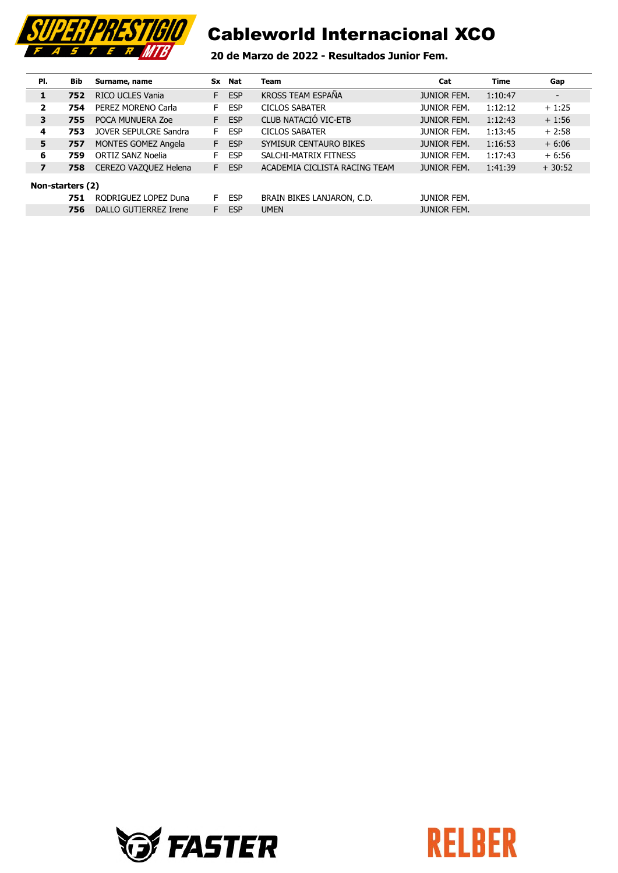

### 20 de Marzo de 2022 - Resultados Junior Fem.

| PI.                     | Bib              | Surname, name              |    | Sx Nat     | Team                          | Cat                | <b>Time</b> | Gap                      |
|-------------------------|------------------|----------------------------|----|------------|-------------------------------|--------------------|-------------|--------------------------|
| 1                       | 752              | RICO UCLES Vania           | F. | <b>ESP</b> | KROSS TEAM ESPAÑA             | <b>JUNIOR FEM.</b> | 1:10:47     | $\overline{\phantom{a}}$ |
| 2                       | 754              | PEREZ MORENO Carla         | F. | <b>ESP</b> | <b>CICLOS SABATER</b>         | <b>JUNIOR FEM.</b> | 1:12:12     | $+1:25$                  |
| 3                       | 755              | POCA MUNUERA Zoe           | F. | <b>ESP</b> | CLUB NATACIÓ VIC-ETB          | <b>JUNIOR FEM.</b> | 1:12:43     | $+1:56$                  |
| 4                       | 753              | JOVER SEPULCRE Sandra      | F. | <b>ESP</b> | <b>CICLOS SABATER</b>         | <b>JUNIOR FEM.</b> | 1:13:45     | $+2:58$                  |
| 5                       | 757              | <b>MONTES GOMEZ Angela</b> | F. | <b>ESP</b> | SYMISUR CENTAURO BIKES        | <b>JUNIOR FEM.</b> | 1:16:53     | $+6:06$                  |
| 6                       | 759              | ORTIZ SANZ Noelia          | F. | <b>ESP</b> | SALCHI-MATRIX FITNESS         | JUNIOR FEM.        | 1:17:43     | $+6:56$                  |
| $\overline{\mathbf{z}}$ | 758              | CEREZO VAZQUEZ Helena      | F. | <b>ESP</b> | ACADEMIA CICLISTA RACING TEAM | <b>JUNIOR FEM.</b> | 1:41:39     | $+30:52$                 |
|                         | Non-starters (2) |                            |    |            |                               |                    |             |                          |
|                         | 751              | RODRIGUEZ LOPEZ Duna       | F. | <b>ESP</b> | BRAIN BIKES LANJARON, C.D.    | JUNIOR FEM.        |             |                          |
|                         | 756              | DALLO GUTIERREZ Irene      | F. | <b>ESP</b> | <b>UMEN</b>                   | JUNIOR FEM.        |             |                          |



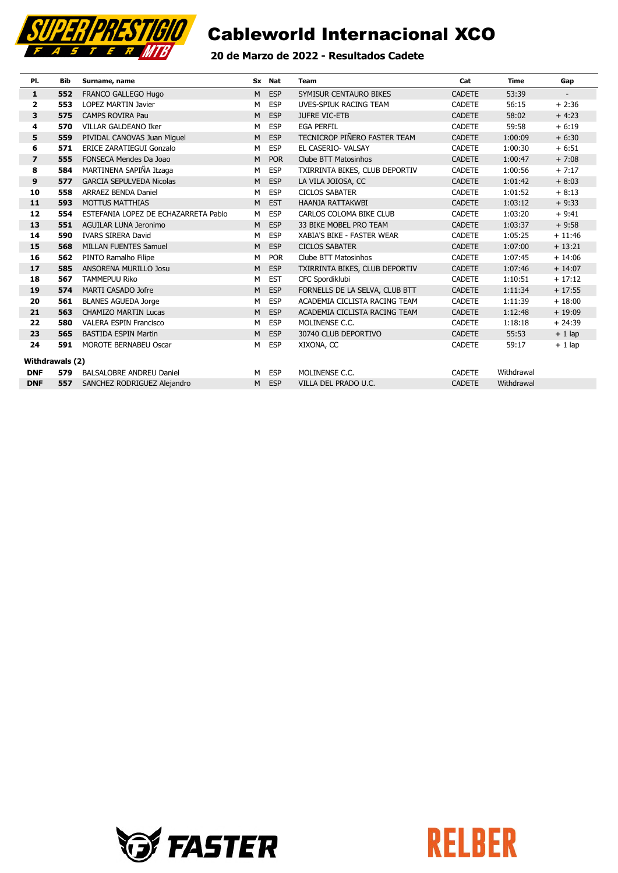

### 20 de Marzo de 2022 - Resultados **Cadete**

| PI.             | Bib | Surname, name                        |   | Sx Nat     | <b>Team</b>                    | Cat           | <b>Time</b> | Gap                      |
|-----------------|-----|--------------------------------------|---|------------|--------------------------------|---------------|-------------|--------------------------|
| 1               | 552 | FRANCO GALLEGO Hugo                  | M | <b>ESP</b> | SYMISUR CENTAURO BIKES         | <b>CADETE</b> | 53:39       | $\overline{\phantom{a}}$ |
| 2               | 553 | <b>LOPEZ MARTIN Javier</b>           | M | <b>ESP</b> | UVES-SPIUK RACING TEAM         | <b>CADETE</b> | 56:15       | $+2:36$                  |
| 3               | 575 | <b>CAMPS ROVIRA Pau</b>              | M | <b>ESP</b> | <b>JUFRE VIC-ETB</b>           | <b>CADETE</b> | 58:02       | $+4:23$                  |
| 4               | 570 | VILLAR GALDEANO Iker                 | M | <b>ESP</b> | <b>EGA PERFIL</b>              | <b>CADETE</b> | 59:58       | $+6:19$                  |
| 5               | 559 | PIVIDAL CANOVAS Juan Miguel          | M | <b>ESP</b> | TECNICROP PIÑERO FASTER TEAM   | <b>CADETE</b> | 1:00:09     | $+6:30$                  |
| 6               | 571 | <b>ERICE ZARATIEGUI Gonzalo</b>      | М | <b>ESP</b> | EL CASERIO- VALSAY             | <b>CADETE</b> | 1:00:30     | $+6:51$                  |
| $\overline{ }$  | 555 | FONSECA Mendes Da Joao               | M | <b>POR</b> | Clube BTT Matosinhos           | <b>CADETE</b> | 1:00:47     | $+7:08$                  |
| 8               | 584 | MARTINENA SAPIÑA Itzaga              | M | <b>ESP</b> | TXIRRINTA BIKES, CLUB DEPORTIV | <b>CADETE</b> | 1:00:56     | $+7:17$                  |
| 9               | 577 | <b>GARCIA SEPULVEDA Nicolas</b>      | M | <b>ESP</b> | LA VILA JOIOSA, CC             | <b>CADETE</b> | 1:01:42     | $+8:03$                  |
| 10              | 558 | <b>ARRAEZ BENDA Daniel</b>           | M | <b>ESP</b> | <b>CICLOS SABATER</b>          | <b>CADETE</b> | 1:01:52     | $+8:13$                  |
| 11              | 593 | <b>MOTTUS MATTHIAS</b>               | M | <b>EST</b> | HAANJA RATTAKWBI               | <b>CADETE</b> | 1:03:12     | $+9:33$                  |
| 12              | 554 | ESTEFANIA LOPEZ DE ECHAZARRETA Pablo | м | <b>ESP</b> | CARLOS COLOMA BIKE CLUB        | <b>CADETE</b> | 1:03:20     | $+9:41$                  |
| 13              | 551 | <b>AGUILAR LUNA Jeronimo</b>         | M | <b>ESP</b> | 33 BIKE MOBEL PRO TEAM         | <b>CADETE</b> | 1:03:37     | $+9:58$                  |
| 14              | 590 | <b>IVARS SIRERA David</b>            | M | <b>ESP</b> | XABIA'S BIKE - FASTER WEAR     | <b>CADETE</b> | 1:05:25     | $+11:46$                 |
| 15              | 568 | <b>MILLAN FUENTES Samuel</b>         | M | <b>ESP</b> | <b>CICLOS SABATER</b>          | <b>CADETE</b> | 1:07:00     | $+13:21$                 |
| 16              | 562 | PINTO Ramalho Filipe                 | М | <b>POR</b> | Clube BTT Matosinhos           | <b>CADETE</b> | 1:07:45     | $+14:06$                 |
| 17              | 585 | ANSORENA MURILLO Josu                | M | <b>ESP</b> | TXIRRINTA BIKES, CLUB DEPORTIV | <b>CADETE</b> | 1:07:46     | $+14:07$                 |
| 18              | 567 | <b>TAMMEPUU Riko</b>                 | M | <b>EST</b> | CFC Spordiklubi                | <b>CADETE</b> | 1:10:51     | $+17:12$                 |
| 19              | 574 | MARTI CASADO Jofre                   | M | <b>ESP</b> | FORNELLS DE LA SELVA, CLUB BTT | <b>CADETE</b> | 1:11:34     | $+17:55$                 |
| 20              | 561 | <b>BLANES AGUEDA Jorge</b>           | M | <b>ESP</b> | ACADEMIA CICLISTA RACING TEAM  | <b>CADETE</b> | 1:11:39     | $+18:00$                 |
| 21              | 563 | <b>CHAMIZO MARTIN Lucas</b>          | M | <b>ESP</b> | ACADEMIA CICLISTA RACING TEAM  | <b>CADETE</b> | 1:12:48     | $+19:09$                 |
| 22              | 580 | <b>VALERA ESPIN Francisco</b>        | м | <b>ESP</b> | MOLINENSE C.C.                 | <b>CADETE</b> | 1:18:18     | $+24:39$                 |
| 23              | 565 | <b>BASTIDA ESPIN Martin</b>          | M | <b>ESP</b> | 30740 CLUB DEPORTIVO           | <b>CADETE</b> | 55:53       | $+1$ lap                 |
| 24              | 591 | MOROTE BERNABEU Oscar                | м | <b>ESP</b> | XIXONA, CC                     | <b>CADETE</b> | 59:17       | $+1$ lap                 |
| Withdrawals (2) |     |                                      |   |            |                                |               |             |                          |
| <b>DNF</b>      | 579 | <b>BALSALOBRE ANDREU Daniel</b>      | м | <b>ESP</b> | MOLINENSE C.C.                 | <b>CADETE</b> | Withdrawal  |                          |
| <b>DNF</b>      | 557 | SANCHEZ RODRIGUEZ Alejandro          | M | <b>ESP</b> | VILLA DEL PRADO U.C.           | <b>CADETE</b> | Withdrawal  |                          |